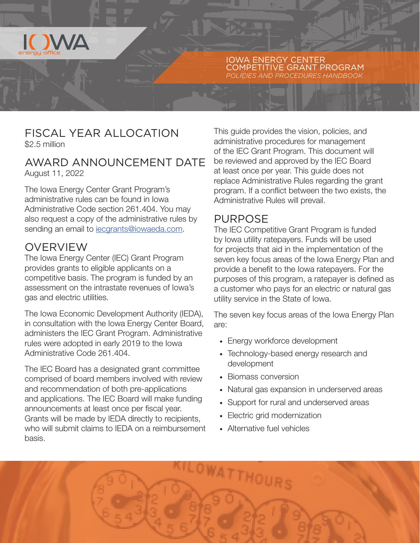

IOWA ENERGY CENTER COMPETITIVE GRANT PROGRAM *POLICIES AND PROCEDURES HANDBOOK*

## FISCAL YEAR ALLOCATION \$2.5 million

## AWARD ANNOUNCEMENT DATE August 11, 2022

The Iowa Energy Center Grant Program's administrative rules can be found in Iowa Administrative Code section 261.404. You may also request a copy of the administrative rules by sending an email to [iecgrants@iowaeda.com](mailto:iecgrants%40iowaeda.com?subject=).

## OVERVIEW

The Iowa Energy Center (IEC) Grant Program provides grants to eligible applicants on a competitive basis. The program is funded by an assessment on the intrastate revenues of Iowa's gas and electric utilities.

The Iowa Economic Development Authority (IEDA), in consultation with the Iowa Energy Center Board, administers the IEC Grant Program. Administrative rules were adopted in early 2019 to the Iowa Administrative Code 261.404.

The IEC Board has a designated grant committee comprised of board members involved with review and recommendation of both pre-applications and applications. The IEC Board will make funding announcements at least once per fiscal year. Grants will be made by IEDA directly to recipients, who will submit claims to IEDA on a reimbursement basis.

This guide provides the vision, policies, and administrative procedures for management of the IEC Grant Program. This document will be reviewed and approved by the IEC Board at least once per year. This guide does not replace Administrative Rules regarding the grant program. If a conflict between the two exists, the Administrative Rules will prevail.

# PURPOSE

The IEC Competitive Grant Program is funded by Iowa utility ratepayers. Funds will be used for projects that aid in the implementation of the seven key focus areas of the Iowa Energy Plan and provide a benefit to the Iowa ratepayers. For the purposes of this program, a ratepayer is defined as a customer who pays for an electric or natural gas utility service in the State of Iowa.

The seven key focus areas of the Iowa Energy Plan are:

- · Energy workforce development
- · Technology-based energy research and development
- · Biomass conversion
- · Natural gas expansion in underserved areas
- · Support for rural and underserved areas
- · Electric grid modernization
- · Alternative fuel vehicles

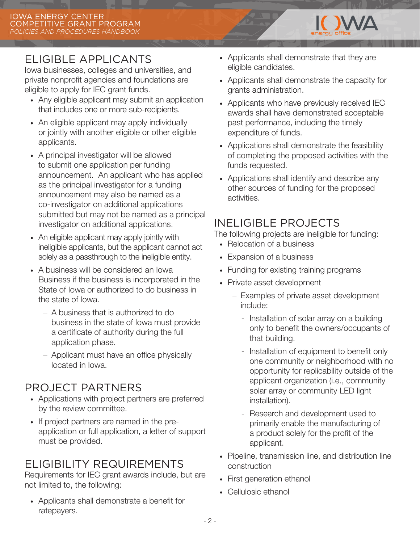

Iowa businesses, colleges and universities, and private nonprofit agencies and foundations are eligible to apply for IEC grant funds.

- · Any eligible applicant may submit an application that includes one or more sub-recipients.
- An eligible applicant may apply individually or jointly with another eligible or other eligible applicants.
- · A principal investigator will be allowed to submit one application per funding announcement. An applicant who has applied as the principal investigator for a funding announcement may also be named as a co-investigator on additional applications submitted but may not be named as a principal investigator on additional applications.
- · An eligible applicant may apply jointly with ineligible applicants, but the applicant cannot act solely as a passthrough to the ineligible entity.
- · A business will be considered an Iowa Business if the business is incorporated in the State of Iowa or authorized to do business in the state of Iowa.
	- A business that is authorized to do business in the state of Iowa must provide a certificate of authority during the full application phase.
	- Applicant must have an office physically located in Iowa.

# PROJECT PARTNERS

- · Applications with project partners are preferred by the review committee.
- · If project partners are named in the preapplication or full application, a letter of support must be provided.

# ELIGIBILITY REQUIREMENTS

Requirements for IEC grant awards include, but are not limited to, the following:

· Applicants shall demonstrate a benefit for ratepayers.

- · Applicants shall demonstrate that they are eligible candidates.
- · Applicants shall demonstrate the capacity for grants administration.

IN NAZA

- · Applicants who have previously received IEC awards shall have demonstrated acceptable past performance, including the timely expenditure of funds.
- · Applications shall demonstrate the feasibility of completing the proposed activities with the funds requested.
- · Applications shall identify and describe any other sources of funding for the proposed activities.

# INELIGIBLE PROJECTS

The following projects are ineligible for funding:

- · Relocation of a business
- · Expansion of a business
- · Funding for existing training programs
- · Private asset development
	- Examples of private asset development include:
		- Installation of solar array on a building only to benefit the owners/occupants of that building.
		- Installation of equipment to benefit only one community or neighborhood with no opportunity for replicability outside of the applicant organization (i.e., community solar array or community LED light installation).
		- Research and development used to primarily enable the manufacturing of a product solely for the profit of the applicant.
- · Pipeline, transmission line, and distribution line construction
- · First generation ethanol
- · Cellulosic ethanol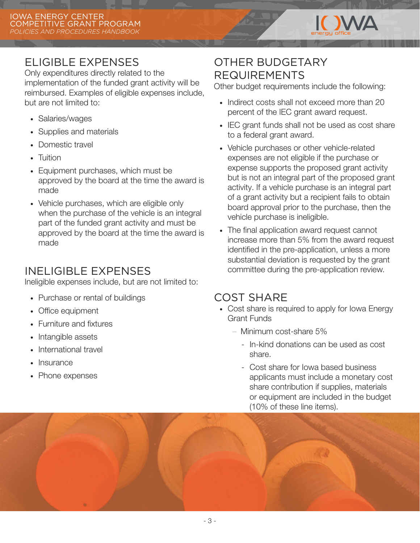

# ELIGIBLE EXPENSES

Only expenditures directly related to the implementation of the funded grant activity will be reimbursed. Examples of eligible expenses include, but are not limited to:

- · Salaries/wages
- · Supplies and materials
- · Domestic travel
- · Tuition
- · Equipment purchases, which must be approved by the board at the time the award is made
- · Vehicle purchases, which are eligible only when the purchase of the vehicle is an integral part of the funded grant activity and must be approved by the board at the time the award is made

# INELIGIBLE EXPENSES

Ineligible expenses include, but are not limited to:

- · Purchase or rental of buildings
- · Office equipment
- · Furniture and fixtures
- · Intangible assets
- · International travel
- **Insurance**
- · Phone expenses

# OTHER BUDGETARY REQUIREMENTS

Other budget requirements include the following:

- · Indirect costs shall not exceed more than 20 percent of the IEC grant award request.
- · IEC grant funds shall not be used as cost share to a federal grant award.
- · Vehicle purchases or other vehicle-related expenses are not eligible if the purchase or expense supports the proposed grant activity but is not an integral part of the proposed grant activity. If a vehicle purchase is an integral part of a grant activity but a recipient fails to obtain board approval prior to the purchase, then the vehicle purchase is ineligible.
- · The final application award request cannot increase more than 5% from the award request identified in the pre-application, unless a more substantial deviation is requested by the grant committee during the pre-application review.

# COST SHARE

- · Cost share is required to apply for Iowa Energy Grant Funds
	- Minimum cost-share 5%
		- In-kind donations can be used as cost share.
		- Cost share for Iowa based business applicants must include a monetary cost share contribution if supplies, materials or equipment are included in the budget (10% of these line items).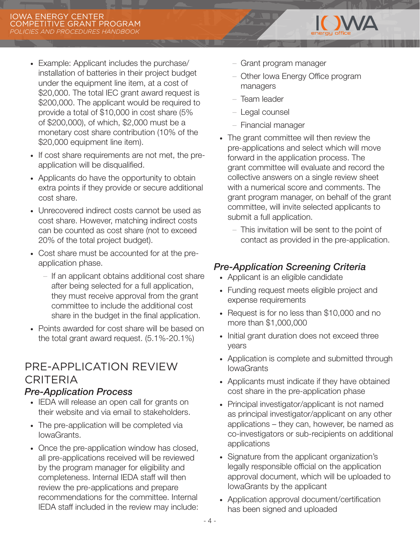- · Example: Applicant includes the purchase/ installation of batteries in their project budget under the equipment line item, at a cost of \$20,000. The total IEC grant award request is \$200,000. The applicant would be required to provide a total of \$10,000 in cost share (5% of \$200,000), of which, \$2,000 must be a monetary cost share contribution (10% of the \$20,000 equipment line item).
- · If cost share requirements are not met, the preapplication will be disqualified.
- · Applicants do have the opportunity to obtain extra points if they provide or secure additional cost share.
- · Unrecovered indirect costs cannot be used as cost share. However, matching indirect costs can be counted as cost share (not to exceed 20% of the total project budget).
- · Cost share must be accounted for at the preapplication phase.
	- If an applicant obtains additional cost share after being selected for a full application, they must receive approval from the grant committee to include the additional cost share in the budget in the final application.
- · Points awarded for cost share will be based on the total grant award request. (5.1%-20.1%)

# PRE-APPLICATION REVIEW CRITERIA

#### *Pre-Application Process*

- · IEDA will release an open call for grants on their website and via email to stakeholders.
- The pre-application will be completed via IowaGrants.
- · Once the pre-application window has closed, all pre-applications received will be reviewed by the program manager for eligibility and completeness. Internal IEDA staff will then review the pre-applications and prepare recommendations for the committee. Internal IEDA staff included in the review may include:
- Grant program manager
- Other Iowa Energy Office program managers

**IONAZ** 

- Team leader
- Legal counsel
- Financial manager
- · The grant committee will then review the pre-applications and select which will move forward in the application process. The grant committee will evaluate and record the collective answers on a single review sheet with a numerical score and comments. The grant program manager, on behalf of the grant committee, will invite selected applicants to submit a full application.
	- This invitation will be sent to the point of contact as provided in the pre-application.

## *Pre-Application Screening Criteria*

- · Applicant is an eligible candidate
- · Funding request meets eligible project and expense requirements
- · Request is for no less than \$10,000 and no more than \$1,000,000
- · Initial grant duration does not exceed three years
- · Application is complete and submitted through **IowaGrants**
- · Applicants must indicate if they have obtained cost share in the pre-application phase
- · Principal investigator/applicant is not named as principal investigator/applicant on any other applications – they can, however, be named as co-investigators or sub-recipients on additional applications
- · Signature from the applicant organization's legally responsible official on the application approval document, which will be uploaded to IowaGrants by the applicant
- · Application approval document/certification has been signed and uploaded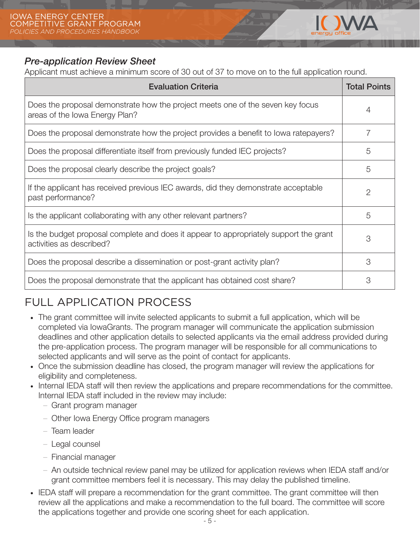

### *Pre-application Review Sheet*

Applicant must achieve a minimum score of 30 out of 37 to move on to the full application round.

| <b>Evaluation Criteria</b>                                                                                        | <b>Total Points</b> |
|-------------------------------------------------------------------------------------------------------------------|---------------------|
| Does the proposal demonstrate how the project meets one of the seven key focus<br>areas of the Iowa Energy Plan?  | 4                   |
| Does the proposal demonstrate how the project provides a benefit to lowa ratepayers?                              |                     |
| Does the proposal differentiate itself from previously funded IEC projects?                                       | 5                   |
| Does the proposal clearly describe the project goals?                                                             | 5                   |
| If the applicant has received previous IEC awards, did they demonstrate acceptable<br>past performance?           | $\overline{2}$      |
| Is the applicant collaborating with any other relevant partners?                                                  | 5                   |
| Is the budget proposal complete and does it appear to appropriately support the grant<br>activities as described? | 3                   |
| Does the proposal describe a dissemination or post-grant activity plan?                                           | 3                   |
| Does the proposal demonstrate that the applicant has obtained cost share?                                         | 3                   |

# FULL APPLICATION PROCESS

- · The grant committee will invite selected applicants to submit a full application, which will be completed via IowaGrants. The program manager will communicate the application submission deadlines and other application details to selected applicants via the email address provided during the pre-application process. The program manager will be responsible for all communications to selected applicants and will serve as the point of contact for applicants.
- · Once the submission deadline has closed, the program manager will review the applications for eligibility and completeness.
- · Internal IEDA staff will then review the applications and prepare recommendations for the committee. Internal IEDA staff included in the review may include:
	- Grant program manager
	- Other Iowa Energy Office program managers
	- Team leader
	- Legal counsel
	- Financial manager
	- An outside technical review panel may be utilized for application reviews when IEDA staff and/or grant committee members feel it is necessary. This may delay the published timeline.
- · IEDA staff will prepare a recommendation for the grant committee. The grant committee will then review all the applications and make a recommendation to the full board. The committee will score the applications together and provide one scoring sheet for each application.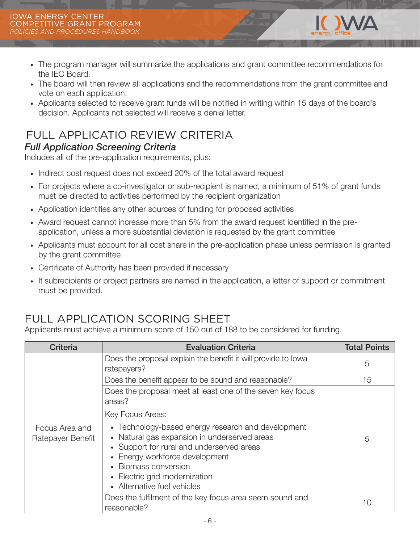- · The program manager will summarize the applications and grant committee recommendations for the IEC Board.
- · The board will then review all applications and the recommendations from the grant committee and vote on each application.
- · Applicants selected to receive grant funds will be notified in writing within 15 days of the board's decision. Applicants not selected will receive a denial letter.

# FULL APPLICATIO REVIEW CRITERIA

### *Full Application Screening Criteria*

Includes all of the pre-application requirements, plus:

- · Indirect cost request does not exceed 20% of the total award request
- · For projects where a co-investigator or sub-recipient is named, a minimum of 51% of grant funds must be directed to activities performed by the recipient organization
- · Application identifies any other sources of funding for proposed activities
- · Award request cannot increase more than 5% from the award request identified in the preapplication, unless a more substantial deviation is requested by the grant committee
- · Applicants must account for all cost share in the pre-application phase unless permission is granted by the grant committee
- · Certificate of Authority has been provided if necessary
- · If subrecipients or project partners are named in the application, a letter of support or commitment must be provided.

# FULL APPLICATION SCORING SHEET

Applicants must achieve a minimum score of 150 out of 188 to be considered for funding.

| <b>Criteria</b>                     | <b>Evaluation Criteria</b>                                                                                                                                                                                                                                                                  | <b>Total Points</b> |
|-------------------------------------|---------------------------------------------------------------------------------------------------------------------------------------------------------------------------------------------------------------------------------------------------------------------------------------------|---------------------|
| Focus Area and<br>Ratepayer Benefit | Does the proposal explain the benefit it will provide to lowa<br>ratepayers?                                                                                                                                                                                                                | 5                   |
|                                     | Does the benefit appear to be sound and reasonable?                                                                                                                                                                                                                                         | 15                  |
|                                     | Does the proposal meet at least one of the seven key focus<br>areas?                                                                                                                                                                                                                        |                     |
|                                     | Key Focus Areas:                                                                                                                                                                                                                                                                            |                     |
|                                     | • Technology-based energy research and development<br>• Natural gas expansion in underserved areas<br>• Support for rural and underserved areas<br>Energy workforce development<br>Biomass conversion<br>Electric grid modernization<br>$\bullet$<br>Alternative fuel vehicles<br>$\bullet$ | 5                   |
|                                     | Does the fulfilment of the key focus area seem sound and<br>reasonable?                                                                                                                                                                                                                     | 10                  |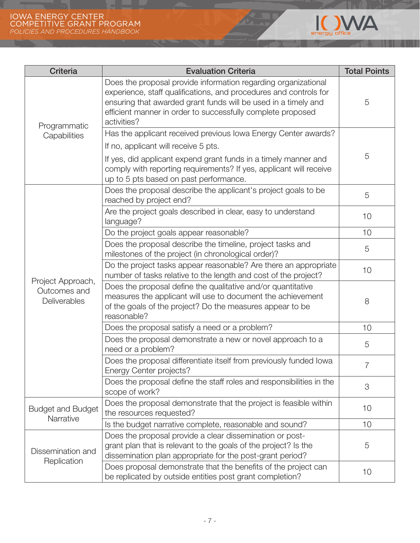<u> The Community of the Community of the Community of the Community of the Community of the Community of the Community of the Community of the Community of the Community of the Community of the Community of the Community of</u>



| <b>Criteria</b>                                   | <b>Evaluation Criteria</b>                                                                                                                                                                                                                                                          | <b>Total Points</b> |
|---------------------------------------------------|-------------------------------------------------------------------------------------------------------------------------------------------------------------------------------------------------------------------------------------------------------------------------------------|---------------------|
| Programmatic<br>Capabilities                      | Does the proposal provide information regarding organizational<br>experience, staff qualifications, and procedures and controls for<br>ensuring that awarded grant funds will be used in a timely and<br>efficient manner in order to successfully complete proposed<br>activities? | 5                   |
|                                                   | Has the applicant received previous Iowa Energy Center awards?                                                                                                                                                                                                                      |                     |
|                                                   | If no, applicant will receive 5 pts.                                                                                                                                                                                                                                                | 5                   |
|                                                   | If yes, did applicant expend grant funds in a timely manner and<br>comply with reporting requirements? If yes, applicant will receive<br>up to 5 pts based on past performance.                                                                                                     |                     |
|                                                   | Does the proposal describe the applicant's project goals to be<br>reached by project end?                                                                                                                                                                                           | 5                   |
|                                                   | Are the project goals described in clear, easy to understand<br>language?                                                                                                                                                                                                           | 10                  |
|                                                   | Do the project goals appear reasonable?                                                                                                                                                                                                                                             | 10                  |
|                                                   | Does the proposal describe the timeline, project tasks and<br>milestones of the project (in chronological order)?                                                                                                                                                                   | 5                   |
|                                                   | Do the project tasks appear reasonable? Are there an appropriate<br>number of tasks relative to the length and cost of the project?                                                                                                                                                 | 10                  |
| Project Approach,<br>Outcomes and<br>Deliverables | Does the proposal define the qualitative and/or quantitative<br>measures the applicant will use to document the achievement<br>of the goals of the project? Do the measures appear to be<br>reasonable?                                                                             | 8                   |
|                                                   | Does the proposal satisfy a need or a problem?                                                                                                                                                                                                                                      | 10                  |
|                                                   | Does the proposal demonstrate a new or novel approach to a<br>need or a problem?                                                                                                                                                                                                    | 5                   |
|                                                   | Does the proposal differentiate itself from previously funded lowa<br>Energy Center projects?                                                                                                                                                                                       | $\overline{7}$      |
|                                                   | Does the proposal define the staff roles and responsibilities in the<br>scope of work?                                                                                                                                                                                              | 3                   |
| <b>Budget and Budget</b>                          | Does the proposal demonstrate that the project is feasible within<br>the resources requested?                                                                                                                                                                                       | 10                  |
| Narrative                                         | Is the budget narrative complete, reasonable and sound?                                                                                                                                                                                                                             | 10                  |
| Dissemination and<br>Replication                  | Does the proposal provide a clear dissemination or post-<br>grant plan that is relevant to the goals of the project? Is the<br>dissemination plan appropriate for the post-grant period?                                                                                            | 5                   |
|                                                   | Does proposal demonstrate that the benefits of the project can<br>be replicated by outside entities post grant completion?                                                                                                                                                          | 10                  |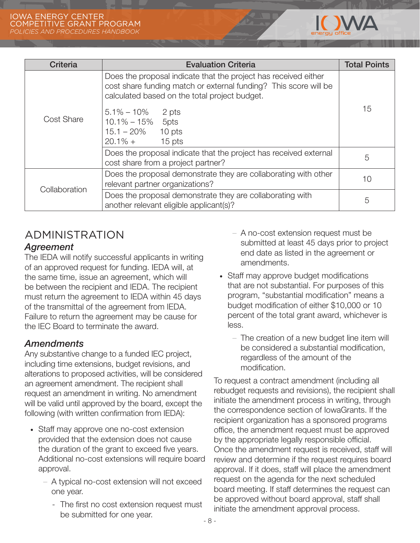

| <b>Criteria</b> | <b>Evaluation Criteria</b>                                                                                                                                                           | <b>Total Points</b> |  |
|-----------------|--------------------------------------------------------------------------------------------------------------------------------------------------------------------------------------|---------------------|--|
| Cost Share      | Does the proposal indicate that the project has received either<br>cost share funding match or external funding? This score will be<br>calculated based on the total project budget. |                     |  |
|                 | $5.1\% - 10\%$ 2 pts<br>$10.1\% - 15\%$<br>5pts<br>$15.1 - 20\%$<br>10 pts<br>$20.1\% +$<br>15 pts                                                                                   | 15                  |  |
|                 | Does the proposal indicate that the project has received external<br>cost share from a project partner?                                                                              | 5                   |  |
| Collaboration   | Does the proposal demonstrate they are collaborating with other<br>relevant partner organizations?                                                                                   | 10                  |  |
|                 | Does the proposal demonstrate they are collaborating with<br>another relevant eligible applicant(s)?                                                                                 | 5                   |  |

# ADMINISTRATION

### *Agreement*

The IEDA will notify successful applicants in writing of an approved request for funding. IEDA will, at the same time, issue an agreement, which will be between the recipient and IEDA. The recipient must return the agreement to IEDA within 45 days of the transmittal of the agreement from IEDA. Failure to return the agreement may be cause for the IEC Board to terminate the award.

## *Amendments*

Any substantive change to a funded IEC project, including time extensions, budget revisions, and alterations to proposed activities, will be considered an agreement amendment. The recipient shall request an amendment in writing. No amendment will be valid until approved by the board, except the following (with written confirmation from IEDA):

- · Staff may approve one no-cost extension provided that the extension does not cause the duration of the grant to exceed five years. Additional no-cost extensions will require board approval.
	- A typical no-cost extension will not exceed one year.
		- The first no cost extension request must be submitted for one year.
- A no-cost extension request must be submitted at least 45 days prior to project end date as listed in the agreement or amendments.
- · Staff may approve budget modifications that are not substantial. For purposes of this program, "substantial modification" means a budget modification of either \$10,000 or 10 percent of the total grant award, whichever is less.
	- The creation of a new budget line item will be considered a substantial modification, regardless of the amount of the modification.

To request a contract amendment (including all rebudget requests and revisions), the recipient shall initiate the amendment process in writing, through the correspondence section of IowaGrants. If the recipient organization has a sponsored programs office, the amendment request must be approved by the appropriate legally responsible official. Once the amendment request is received, staff will review and determine if the request requires board approval. If it does, staff will place the amendment request on the agenda for the next scheduled board meeting. If staff determines the request can be approved without board approval, staff shall initiate the amendment approval process.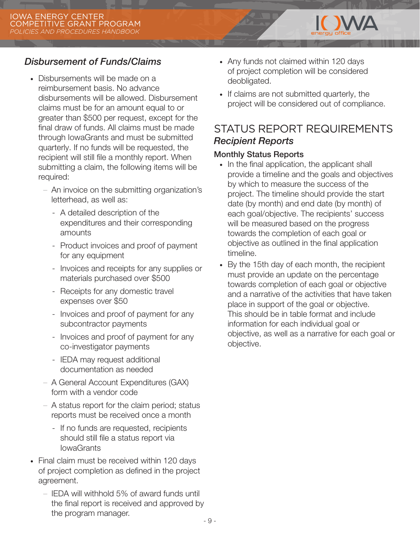## *Disbursement of Funds/Claims*

- · Disbursements will be made on a reimbursement basis. No advance disbursements will be allowed. Disbursement claims must be for an amount equal to or greater than \$500 per request, except for the final draw of funds. All claims must be made through IowaGrants and must be submitted quarterly. If no funds will be requested, the recipient will still file a monthly report. When submitting a claim, the following items will be required:
	- An invoice on the submitting organization's letterhead, as well as:
		- A detailed description of the expenditures and their corresponding amounts
		- Product invoices and proof of payment for any equipment
		- Invoices and receipts for any supplies or materials purchased over \$500
		- Receipts for any domestic travel expenses over \$50
		- Invoices and proof of payment for any subcontractor payments
		- Invoices and proof of payment for any co-investigator payments
		- IEDA may request additional documentation as needed
	- A General Account Expenditures (GAX) form with a vendor code
	- A status report for the claim period; status reports must be received once a month
		- If no funds are requested, recipients should still file a status report via **IowaGrants**
- · Final claim must be received within 120 days of project completion as defined in the project agreement.
	- IEDA will withhold 5% of award funds until the final report is received and approved by the program manager.
- · Any funds not claimed within 120 days of project completion will be considered deobligated.
- · If claims are not submitted quarterly, the project will be considered out of compliance.

**INAZIA** 

## STATUS REPORT REQUIREMENTS *Recipient Reports*

#### Monthly Status Reports

- · In the final application, the applicant shall provide a timeline and the goals and objectives by which to measure the success of the project. The timeline should provide the start date (by month) and end date (by month) of each goal/objective. The recipients' success will be measured based on the progress towards the completion of each goal or objective as outlined in the final application timeline.
- · By the 15th day of each month, the recipient must provide an update on the percentage towards completion of each goal or objective and a narrative of the activities that have taken place in support of the goal or objective. This should be in table format and include information for each individual goal or objective, as well as a narrative for each goal or objective.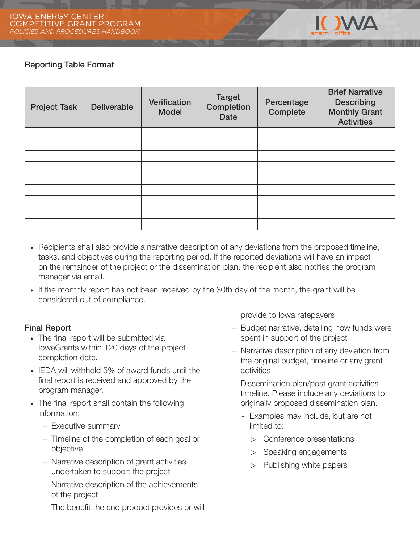

#### Reporting Table Format

| <b>Project Task</b> | <b>Deliverable</b> | Verification<br><b>Model</b> | <b>Target</b><br>Completion<br><b>Date</b> | Percentage<br>Complete | <b>Brief Narrative</b><br><b>Describing</b><br><b>Monthly Grant</b><br><b>Activities</b> |
|---------------------|--------------------|------------------------------|--------------------------------------------|------------------------|------------------------------------------------------------------------------------------|
|                     |                    |                              |                                            |                        |                                                                                          |
|                     |                    |                              |                                            |                        |                                                                                          |
|                     |                    |                              |                                            |                        |                                                                                          |
|                     |                    |                              |                                            |                        |                                                                                          |
|                     |                    |                              |                                            |                        |                                                                                          |
|                     |                    |                              |                                            |                        |                                                                                          |
|                     |                    |                              |                                            |                        |                                                                                          |
|                     |                    |                              |                                            |                        |                                                                                          |
|                     |                    |                              |                                            |                        |                                                                                          |

- · Recipients shall also provide a narrative description of any deviations from the proposed timeline, tasks, and objectives during the reporting period. If the reported deviations will have an impact on the remainder of the project or the dissemination plan, the recipient also notifies the program manager via email.
- · If the monthly report has not been received by the 30th day of the month, the grant will be considered out of compliance.

#### Final Report

- · The final report will be submitted via IowaGrants within 120 days of the project completion date.
- · IEDA will withhold 5% of award funds until the final report is received and approved by the program manager.
- · The final report shall contain the following information:
	- Executive summary
	- Timeline of the completion of each goal or objective
	- Narrative description of grant activities undertaken to support the project
	- Narrative description of the achievements of the project
	- The benefit the end product provides or will

provide to Iowa ratepayers

- Budget narrative, detailing how funds were spent in support of the project
- Narrative description of any deviation from the original budget, timeline or any grant activities
- Dissemination plan/post grant activities timeline. Please include any deviations to originally proposed dissemination plan.
	- Examples may include, but are not limited to:
		- > Conference presentations
		- > Speaking engagements
		- > Publishing white papers